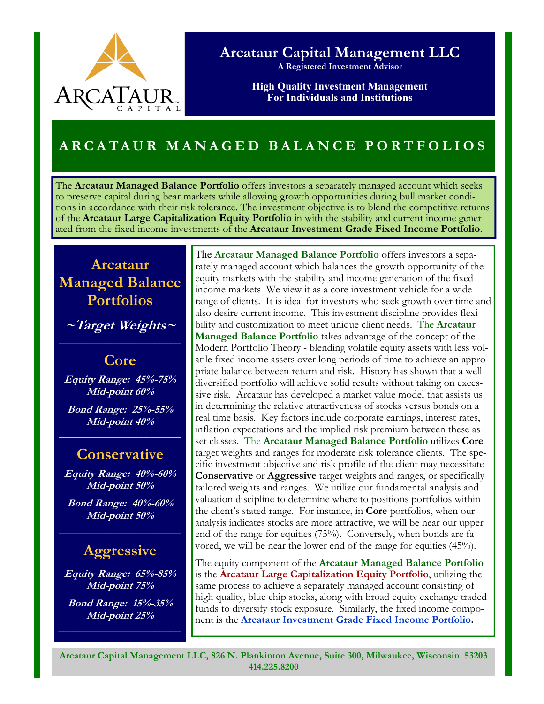

## **Arcataur Capital Management LLC**

**A Registered Investment Advisor** 

**High Quality Investment Management For Individuals and Institutions** 

# **ARCATAUR MANAGED BALANCE PORTFOLIOS**

The **Arcataur Managed Balance Portfolio** offers investors a separately managed account which seeks to preserve capital during bear markets while allowing growth opportunities during bull market conditions in accordance with their risk tolerance. The investment objective is to blend the competitive returns of the **Arcataur Large Capitalization Equity Portfolio** in with the stability and current income generated from the fixed income investments of the **Arcataur Investment Grade Fixed Income Portfolio**.

# **Arcataur Managed Balance Portfolios**

**~Target Weights~** 

**Core** 

**Equity Range: 45%-75% Mid-point 60% Bond Range: 25%-55% Mid-point 40%** 

### **Conservative**

**Equity Range: 40%-60% Mid-point 50%** 

**Bond Range: 40%-60% Mid-point 50%** 

# **Aggressive**

**Equity Range: 65%-85% Mid-point 75%** 

**Bond Range: 15%-35% Mid-point 25%** 

**\_\_\_\_\_\_\_\_\_\_\_\_\_\_\_\_\_\_\_\_\_\_\_** 

The **Arcataur Managed Balance Portfolio** offers investors a separately managed account which balances the growth opportunity of the equity markets with the stability and income generation of the fixed income markets We view it as a core investment vehicle for a wide range of clients. It is ideal for investors who seek growth over time and also desire current income. This investment discipline provides flexibility and customization to meet unique client needs. The **Arcataur Managed Balance Portfolio** takes advantage of the concept of the Modern Portfolio Theory - blending volatile equity assets with less volatile fixed income assets over long periods of time to achieve an appropriate balance between return and risk. History has shown that a welldiversified portfolio will achieve solid results without taking on excessive risk. Arcataur has developed a market value model that assists us in determining the relative attractiveness of stocks versus bonds on a real time basis. Key factors include corporate earnings, interest rates, inflation expectations and the implied risk premium between these asset classes. The **Arcataur Managed Balance Portfolio** utilizes **Core** target weights and ranges for moderate risk tolerance clients. The specific investment objective and risk profile of the client may necessitate **Conservative** or **Aggressive** target weights and ranges, or specifically tailored weights and ranges. We utilize our fundamental analysis and valuation discipline to determine where to positions portfolios within the client's stated range. For instance, in **Core** portfolios, when our analysis indicates stocks are more attractive, we will be near our upper end of the range for equities (75%). Conversely, when bonds are favored, we will be near the lower end of the range for equities (45%).

The equity component of the **Arcataur Managed Balance Portfolio**  is the **Arcataur Large Capitalization Equity Portfolio**, utilizing the same process to achieve a separately managed account consisting of high quality, blue chip stocks, along with broad equity exchange traded funds to diversify stock exposure. Similarly, the fixed income component is the **Arcataur Investment Grade Fixed Income Portfolio.**

**Arcataur Capital Management LLC, 826 N. Plankinton Avenue, Suite 300, Milwaukee, Wisconsin 53203 414.225.8200**